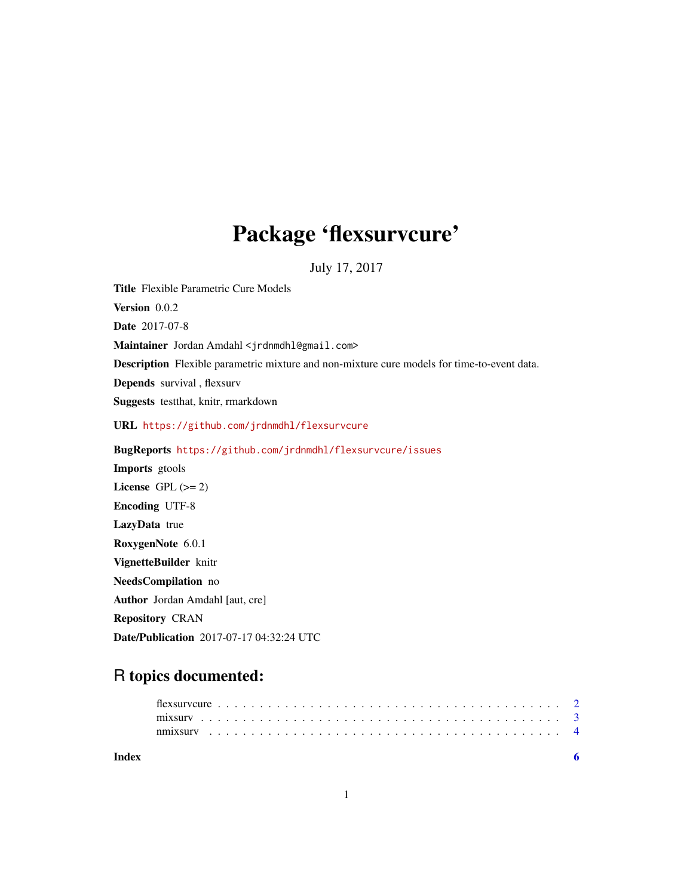## Package 'flexsurvcure'

July 17, 2017

<span id="page-0-0"></span>Title Flexible Parametric Cure Models Version 0.0.2 Date 2017-07-8 Maintainer Jordan Amdahl <jrdnmdhl@gmail.com> Description Flexible parametric mixture and non-mixture cure models for time-to-event data. Depends survival , flexsurv Suggests testthat, knitr, rmarkdown URL <https://github.com/jrdnmdhl/flexsurvcure> BugReports <https://github.com/jrdnmdhl/flexsurvcure/issues> Imports gtools License GPL  $(>= 2)$ Encoding UTF-8 LazyData true RoxygenNote 6.0.1 VignetteBuilder knitr NeedsCompilation no Author Jordan Amdahl [aut, cre] Repository CRAN

Date/Publication 2017-07-17 04:32:24 UTC

## R topics documented:

| Index |  |  |  |  |  |  |  |  |  |  |  |  |  |  |  |  |  |  |  |  |
|-------|--|--|--|--|--|--|--|--|--|--|--|--|--|--|--|--|--|--|--|--|
|       |  |  |  |  |  |  |  |  |  |  |  |  |  |  |  |  |  |  |  |  |
|       |  |  |  |  |  |  |  |  |  |  |  |  |  |  |  |  |  |  |  |  |
|       |  |  |  |  |  |  |  |  |  |  |  |  |  |  |  |  |  |  |  |  |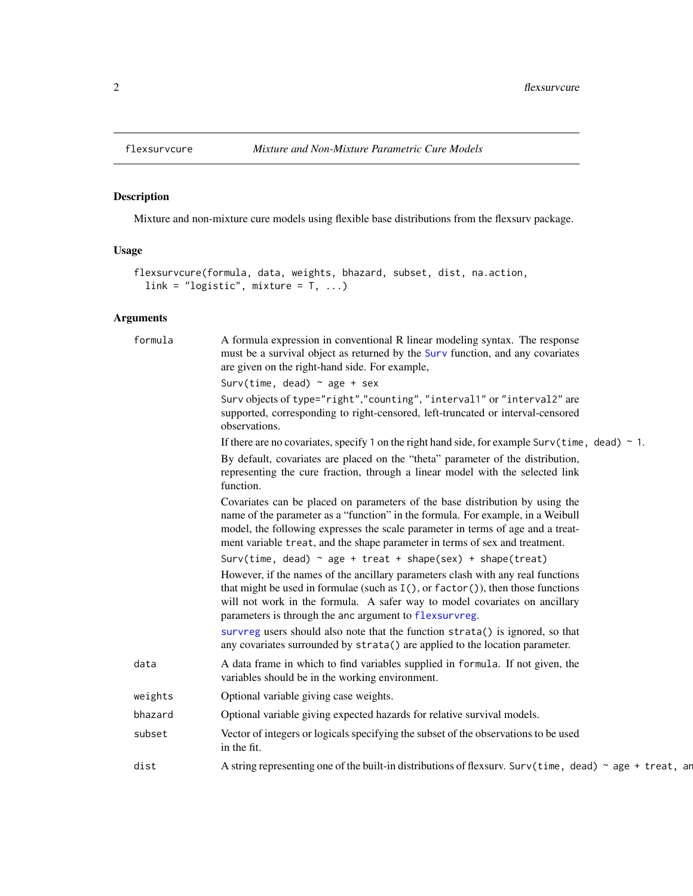### Description

Mixture and non-mixture cure models using flexible base distributions from the flexsurv package.

#### Usage

```
flexsurvcure(formula, data, weights, bhazard, subset, dist, na.action,
 link = "logistic", mixture = T, ...)
```
#### Arguments

| formula | A formula expression in conventional R linear modeling syntax. The response<br>must be a survival object as returned by the Surv function, and any covariates<br>are given on the right-hand side. For example,                                                                                                                   |
|---------|-----------------------------------------------------------------------------------------------------------------------------------------------------------------------------------------------------------------------------------------------------------------------------------------------------------------------------------|
|         | Surv(time, dead) $\sim$ age + sex                                                                                                                                                                                                                                                                                                 |
|         | Surv objects of type="right","counting", "interval1" or "interval2" are<br>supported, corresponding to right-censored, left-truncated or interval-censored<br>observations.                                                                                                                                                       |
|         | If there are no covariates, specify 1 on the right hand side, for example Surv(time, dead) $\sim$ 1.                                                                                                                                                                                                                              |
|         | By default, covariates are placed on the "theta" parameter of the distribution,<br>representing the cure fraction, through a linear model with the selected link<br>function.                                                                                                                                                     |
|         | Covariates can be placed on parameters of the base distribution by using the<br>name of the parameter as a "function" in the formula. For example, in a Weibull<br>model, the following expresses the scale parameter in terms of age and a treat-<br>ment variable treat, and the shape parameter in terms of sex and treatment. |
|         | Surv(time, dead) $\sim$ age + treat + shape(sex) + shape(treat)                                                                                                                                                                                                                                                                   |
|         | However, if the names of the ancillary parameters clash with any real functions<br>that might be used in formulae (such as $I(.)$ , or $factor(),$ then those functions<br>will not work in the formula. A safer way to model covariates on ancillary<br>parameters is through the anc argument to flexsurvreg.                   |
|         | survreg users should also note that the function strata() is ignored, so that<br>any covariates surrounded by strata() are applied to the location parameter.                                                                                                                                                                     |
| data    | A data frame in which to find variables supplied in formula. If not given, the<br>variables should be in the working environment.                                                                                                                                                                                                 |
| weights | Optional variable giving case weights.                                                                                                                                                                                                                                                                                            |
| bhazard | Optional variable giving expected hazards for relative survival models.                                                                                                                                                                                                                                                           |
| subset  | Vector of integers or logicals specifying the subset of the observations to be used<br>in the fit.                                                                                                                                                                                                                                |
| dist    | A string representing one of the built-in distributions of flexsurv. Surv(time, dead) $\sim$ age + treat, and                                                                                                                                                                                                                     |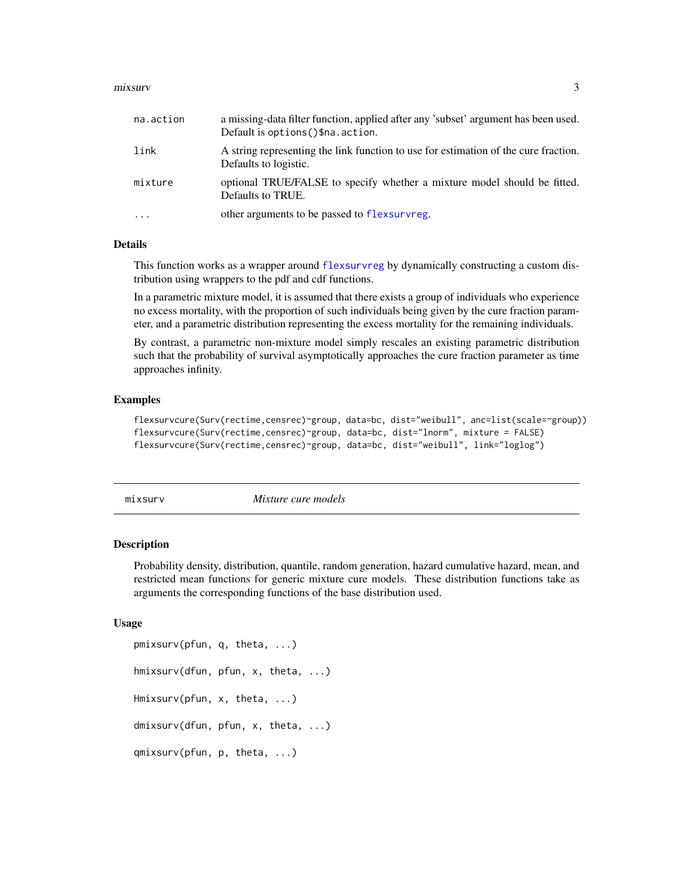#### <span id="page-2-0"></span>mixsurv 3

| na.action | a missing-data filter function, applied after any 'subset' argument has been used.<br>Default is options () \$na. action. |
|-----------|---------------------------------------------------------------------------------------------------------------------------|
| link      | A string representing the link function to use for estimation of the cure fraction.<br>Defaults to logistic.              |
| mixture   | optional TRUE/FALSE to specify whether a mixture model should be fitted.<br>Defaults to TRUE.                             |
| $\cdots$  | other arguments to be passed to flexsurvreg.                                                                              |

#### Details

This function works as a wrapper around [flexsurvreg](#page-0-0) by dynamically constructing a custom distribution using wrappers to the pdf and cdf functions.

In a parametric mixture model, it is assumed that there exists a group of individuals who experience no excess mortality, with the proportion of such individuals being given by the cure fraction parameter, and a parametric distribution representing the excess mortality for the remaining individuals.

By contrast, a parametric non-mixture model simply rescales an existing parametric distribution such that the probability of survival asymptotically approaches the cure fraction parameter as time approaches infinity.

#### Examples

```
flexsurvcure(Surv(rectime,censrec)~group, data=bc, dist="weibull", anc=list(scale=~group))
flexsurvcure(Surv(rectime,censrec)~group, data=bc, dist="lnorm", mixture = FALSE)
flexsurvcure(Surv(rectime,censrec)~group, data=bc, dist="weibull", link="loglog")
```
mixsurv *Mixture cure models*

#### Description

Probability density, distribution, quantile, random generation, hazard cumulative hazard, mean, and restricted mean functions for generic mixture cure models. These distribution functions take as arguments the corresponding functions of the base distribution used.

#### Usage

```
pmixsurv(pfun, q, theta, ...)
hmixsurv(dfun, pfun, x, theta, ...)
Hmixsurv(pfun, x, theta, ...)
dmixsurv(dfun, pfun, x, theta, ...)
qmixsurv(pfun, p, theta, ...)
```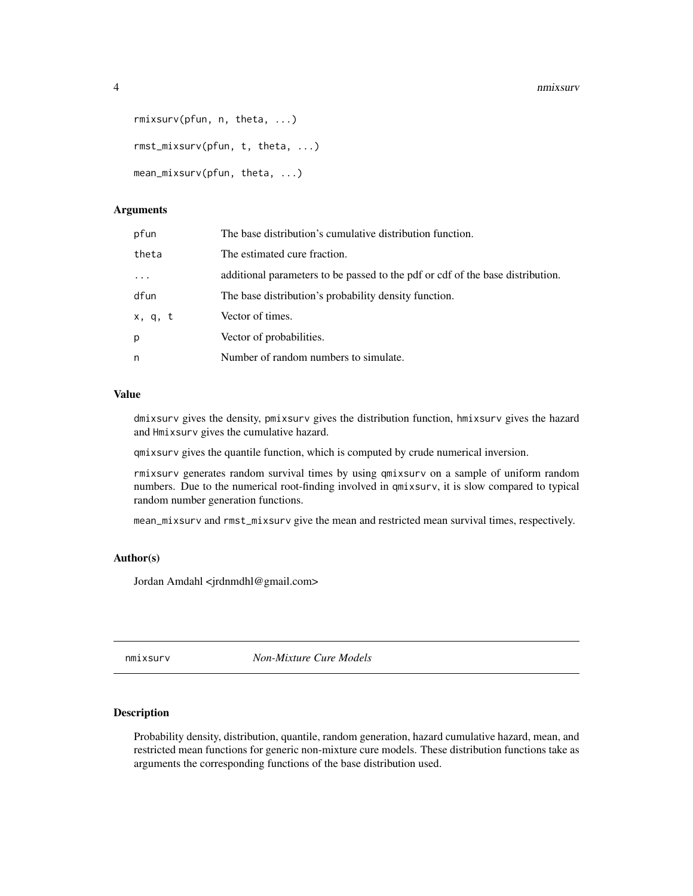#### 4 nmixsurv

```
rmixsurv(pfun, n, theta, ...)
rmst_mixsurv(pfun, t, theta, ...)
mean_mixsurv(pfun, theta, ...)
```
#### Arguments

| pfun     | The base distribution's cumulative distribution function.                      |
|----------|--------------------------------------------------------------------------------|
| theta    | The estimated cure fraction.                                                   |
| $\cdots$ | additional parameters to be passed to the pdf or cdf of the base distribution. |
| dfun     | The base distribution's probability density function.                          |
| x, q, t  | Vector of times.                                                               |
| p        | Vector of probabilities.                                                       |
| n        | Number of random numbers to simulate.                                          |

#### Value

dmixsurv gives the density, pmixsurv gives the distribution function, hmixsurv gives the hazard and Hmixsurv gives the cumulative hazard.

qmixsurv gives the quantile function, which is computed by crude numerical inversion.

rmixsurv generates random survival times by using qmixsurv on a sample of uniform random numbers. Due to the numerical root-finding involved in qmixsurv, it is slow compared to typical random number generation functions.

mean\_mixsurv and rmst\_mixsurv give the mean and restricted mean survival times, respectively.

#### Author(s)

Jordan Amdahl <jrdnmdhl@gmail.com>

nmixsurv *Non-Mixture Cure Models*

#### Description

Probability density, distribution, quantile, random generation, hazard cumulative hazard, mean, and restricted mean functions for generic non-mixture cure models. These distribution functions take as arguments the corresponding functions of the base distribution used.

<span id="page-3-0"></span>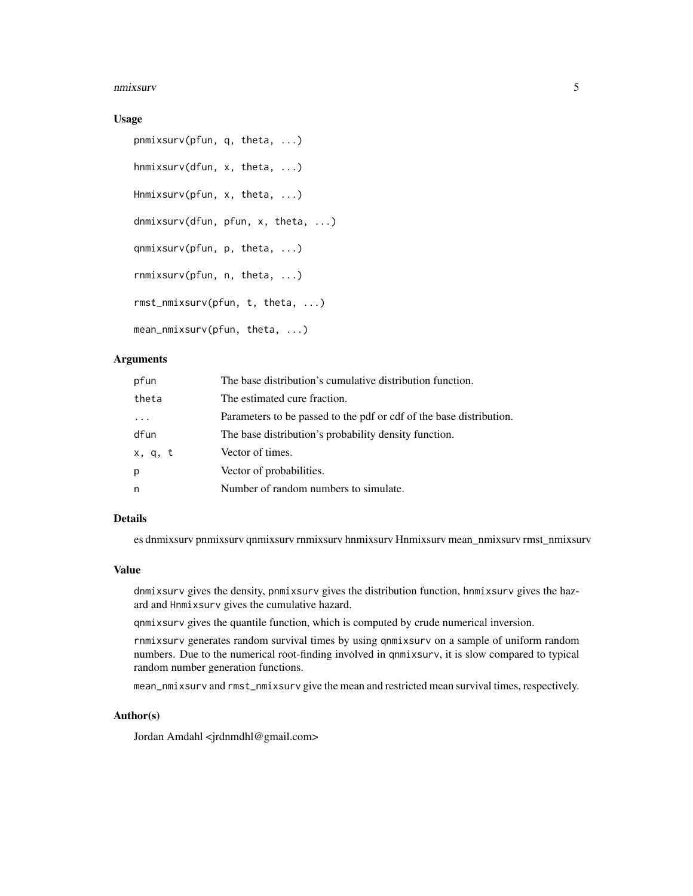#### nmixsurv 5

#### Usage

```
pnmixsurv(pfun, q, theta, ...)
hnmixsurv(dfun, x, theta, ...)
Hnmixsurv(pfun, x, theta, ...)
dnmixsurv(dfun, pfun, x, theta, ...)
qnmixsurv(pfun, p, theta, ...)
rnmixsurv(pfun, n, theta, ...)
rmst_nmixsurv(pfun, t, theta, ...)
mean_nmixsurv(pfun, theta, ...)
```
#### Arguments

| pfun    | The base distribution's cumulative distribution function.           |
|---------|---------------------------------------------------------------------|
| theta   | The estimated cure fraction.                                        |
|         | Parameters to be passed to the pdf or cdf of the base distribution. |
| dfun    | The base distribution's probability density function.               |
| x, q, t | Vector of times.                                                    |
| p       | Vector of probabilities.                                            |
| n       | Number of random numbers to simulate.                               |

#### Details

es dnmixsurv pnmixsurv qnmixsurv rnmixsurv hnmixsurv Hnmixsurv mean\_nmixsurv rmst\_nmixsurv

#### Value

dnmixsurv gives the density, pnmixsurv gives the distribution function, hnmixsurv gives the hazard and Hnmixsurv gives the cumulative hazard.

qnmixsurv gives the quantile function, which is computed by crude numerical inversion.

rnmixsurv generates random survival times by using qnmixsurv on a sample of uniform random numbers. Due to the numerical root-finding involved in qnmixsurv, it is slow compared to typical random number generation functions.

mean\_nmixsurv and rmst\_nmixsurv give the mean and restricted mean survival times, respectively.

#### Author(s)

Jordan Amdahl <jrdnmdhl@gmail.com>